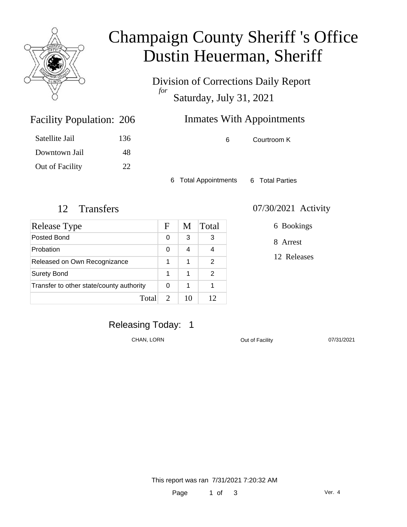

# Champaign County Sheriff 's Office Dustin Heuerman, Sheriff

Division of Corrections Daily Report *for* Saturday, July 31, 2021

| 206 | <b>Inmates With Appointments</b> |
|-----|----------------------------------|
|     |                                  |

| 136 |
|-----|
| 48  |
| 22. |
|     |

Facility Population: 206

6 Courtroom K

6 Total Appointments 6 Total Parties

| Release Type                             | F                           | M  | Total |
|------------------------------------------|-----------------------------|----|-------|
| Posted Bond                              | 0                           | 3  | 3     |
| Probation                                | 0                           | 4  |       |
| Released on Own Recognizance             | 1                           | 1  | 2     |
| <b>Surety Bond</b>                       | 1                           | 1  | 2     |
| Transfer to other state/county authority |                             | 1  |       |
| Total                                    | $\mathcal{D}_{\mathcal{L}}$ | 10 | 12    |

#### 12 Transfers 07/30/2021 Activity

6 Bookings

8 Arrest

12 Releases

### Releasing Today: 1

CHAN, LORN CHAN, LORN CULLEN COUL OF Facility 07/31/2021

This report was ran 7/31/2021 7:20:32 AM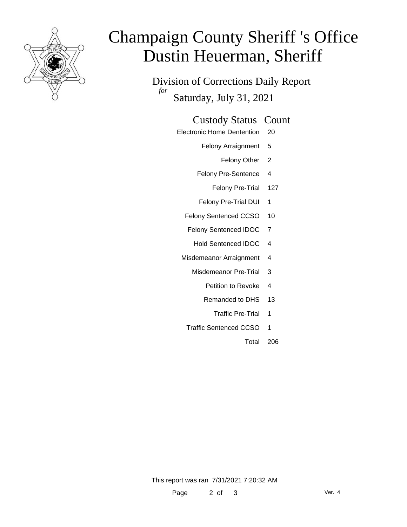

# Champaign County Sheriff 's Office Dustin Heuerman, Sheriff

Division of Corrections Daily Report *for* Saturday, July 31, 2021

#### Custody Status Count

- Electronic Home Dentention 20
	- Felony Arraignment 5
		- Felony Other 2
	- Felony Pre-Sentence 4
		- Felony Pre-Trial 127
	- Felony Pre-Trial DUI 1
	- Felony Sentenced CCSO 10
	- Felony Sentenced IDOC 7
		- Hold Sentenced IDOC 4
	- Misdemeanor Arraignment 4
		- Misdemeanor Pre-Trial 3
			- Petition to Revoke 4
			- Remanded to DHS 13
				- Traffic Pre-Trial 1
		- Traffic Sentenced CCSO 1
			- Total 206

This report was ran 7/31/2021 7:20:32 AM